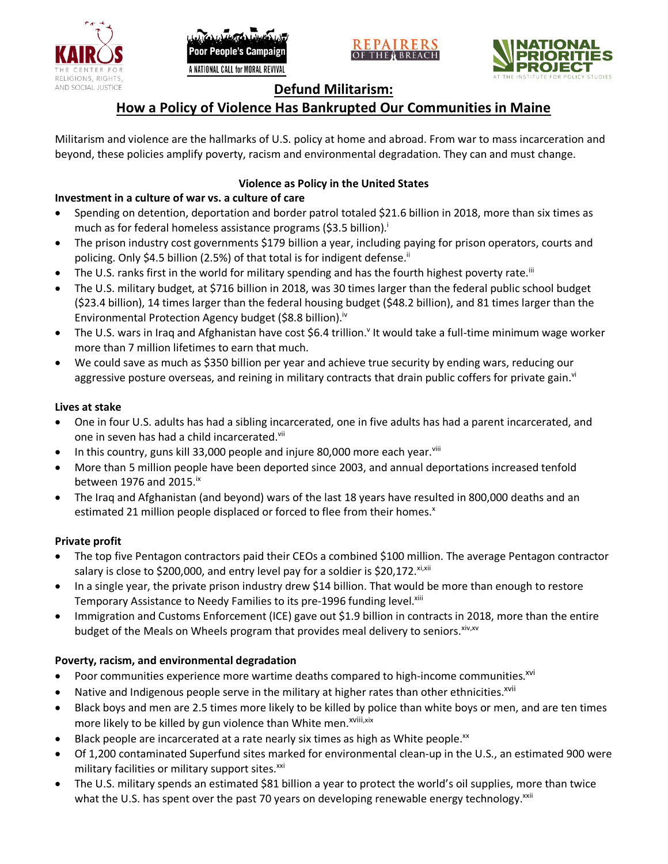





## **Defund Militarism:**

# **How a Policy of Violence Has Bankrupted Our Communities in Maine**

Militarism and violence are the hallmarks of U.S. policy at home and abroad. From war to mass incarceration and beyond, these policies amplify poverty, racism and environmental degradation. They can and must change.

## **Violence as Policy in the United States**

## **Investment in a culture of war vs. a culture of care**

- Spending on detention, deportation and border patrol totaled \$21.6 billion in 2018, more than six times as much as for federal homeless assistance programs (\$3.5 billion).<sup>i</sup>
- The prison industry cost governments \$179 billion a year, including paying for prison operators, courts and policing. Only \$4.5 billion (2.5%) of that total is for indigent defense.<sup>ii</sup>
- The U.S. ranks first in the world for military spending and has the fourth highest poverty rate.<sup>iii</sup>
- The U.S. military budget, at \$716 billion in 2018, was 30 times larger than the federal public school budget (\$23.4 billion), 14 times larger than the federal housing budget (\$48.2 billion), and 81 times larger than the Environmental Protection Agency budget (\$8.8 billion).<sup>iv</sup>
- The U.S. wars in Iraq and Afghanistan have cost \$6.4 trillion.<sup>v</sup> It would take a full-time minimum wage worker more than 7 million lifetimes to earn that much.
- We could save as much as \$350 billion per year and achieve true security by ending wars, reducing our aggressive posture overseas, and reining in military contracts that drain public coffers for private gain.<sup>vi</sup>

#### **Lives at stake**

- One in four U.S. adults has had a sibling incarcerated, one in five adults has had a parent incarcerated, and one in seven has had a child incarcerated.vii
- In this country, guns kill 33,000 people and injure 80,000 more each year. $v_{\text{lin}}$
- More than 5 million people have been deported since 2003, and annual deportations increased tenfold between 1976 and 2015. $\mathrm{i}$ <sup>x</sup>
- The Iraq and Afghanistan (and beyond) wars of the last 18 years have resulted in 800,000 deaths and an estimated 21 million people displaced or forced to flee from their homes.<sup>x</sup>

#### **Private profit**

- The top five Pentagon contractors paid their CEOs a combined \$100 million. The average Pentagon contractor salary is close to \$200,000, and entry level pay for a soldier is \$20,172. xi,xii
- In a single year, the private prison industry drew \$14 billion. That would be more than enough to restore Temporary Assistance to Needy Families to its pre-1996 funding level.<sup>xiii</sup>
- Immigration and Customs Enforcement (ICE) gave out \$1.9 billion in contracts in 2018, more than the entire budget of the Meals on Wheels program that provides meal delivery to seniors. Xiv, XV

#### **Poverty, racism, and environmental degradation**

- Poor communities experience more wartime deaths compared to high-income communities.<sup>xvi</sup>
- Native and Indigenous people serve in the military at higher rates than other ethnicities.<sup>xvii</sup>
- Black boys and men are 2.5 times more likely to be killed by police than white boys or men, and are ten times more likely to be killed by gun violence than White men.<sup>xviii,xix</sup>
- Black people are incarcerated at a rate nearly six times as high as White people.<sup>xx</sup>
- Of 1,200 contaminated Superfund sites marked for environmental clean-up in the U.S., an estimated 900 were military facilities or military support sites.<sup>xxi</sup>
- The U.S. military spends an estimated \$81 billion a year to protect the world's oil supplies, more than twice what the U.S. has spent over the past 70 years on developing renewable energy technology.<sup>xxii</sup>